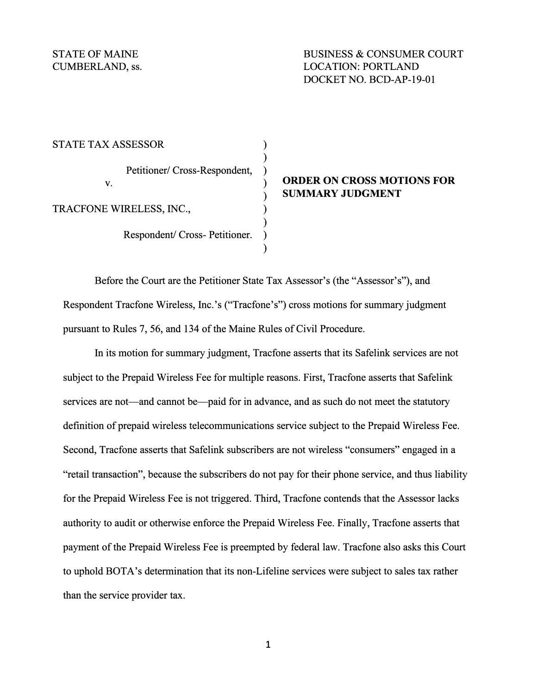STATE TAX ASSESSOR **)**  Petitioner/ Cross-Respondent, TRACFONE WIRELESS, INC., **)**  Respondent/ Cross- Petitioner. ) **)** 

# v. **ORDER ON CROSS MOTIONS FOR ) SUMMARY JUDGMENT**

Before the Court are the Petitioner State Tax Assessor's (the "Assessor's"), and Respondent Tracfone Wireless, Inc.'s ("Tracfone's") cross motions for summary judgment pursuant to Rules 7, 56, and 134 of the Maine Rules of Civil Procedure.

In its motion for summary judgment, Tracfone asserts that its Safelink services are not subject to the Prepaid Wireless Fee for multiple reasons. First, Tracfone asserts that Safelink services are not—and cannot be—paid for in advance, and as such do not meet the statutory definition of prepaid wireless telecommunications service subject to the Prepaid Wireless Fee. Second, Tracfone asserts that Safelink subscribers are not wireless "consumers" engaged in a "retail transaction", because the subscribers do not pay for their phone service, and thus liability for the Prepaid Wireless Fee is not triggered. Third, Tracfone contends that the Assessor lacks authority to audit or otherwise enforce the Prepaid Wireless Fee. Finally, Tracfone asserts that payment of the Prepaid Wireless Fee is preempted by federal law. Tracfone also asks this Court to uphold BOTA's determination that its non-Lifeline services were subject to sales tax rather than the service provider tax.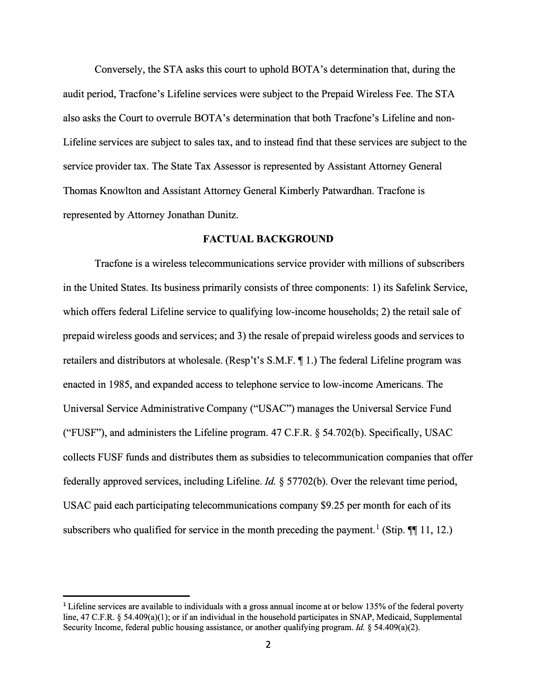Conversely, the STA asks this court to uphold BOTA's determination that, during the audit period, Tracfone's Lifeline services were subject to the Prepaid Wireless Fee. The STA also asks the Court to overrule BOTA's determination that both Tracfone's Lifeline and non-Lifeline services are subject to sales tax, and to instead find that these services are subject to the service provider tax. The State Tax Assessor is represented by Assistant Attorney General Thomas Knowlton and Assistant Attorney General Kimberly Patwardhan. Tracfone is represented by Attorney Jonathan Dunitz.

### **FACTUAL BACKGROUND**

Tracfone is a wireless telecommunications service provider with millions of subscribers in the United States. Its business primarily consists of three components: 1) its Safelink Service, which offers federal Lifeline service to qualifying low-income households; 2) the retail sale of prepaid wireless goods and services; and 3) the resale of prepaid wireless goods and services to retailers and distributors at wholesale. (Resp't's  $S.M.F. \P 1$ .) The federal Lifeline program was enacted in 1985, and expanded access to telephone service to low-income Americans. The Universal Service Administrative Company ("USAC") manages the Universal Service Fund ("FUSF"), and administers the Lifeline program. 47 C.F.R. § 54.702(b). Specifically, USAC collects FUSF funds and distributes them as subsidies to telecommunication companies that offer federally approved services, including Lifeline. *Id.* § 57702(b ). Over the relevant time period, USAC paid each participating telecommunications company \$9 .25 per month for each of its subscribers who qualified for service in the month preceding the payment.<sup>1</sup> (Stip.  $\P\P$  11, 12.)

**<sup>1</sup>**Lifeline services are available to individuals with a gross annual income at or below 135% of the federal poverty line, 47 C.F.R. § 54.409(a)(1); or if an individual in the household participates in SNAP, Medicaid, Supplemental Security Income, federal public housing assistance, or another qualifying program. *Id.* § 54.409(a)(2).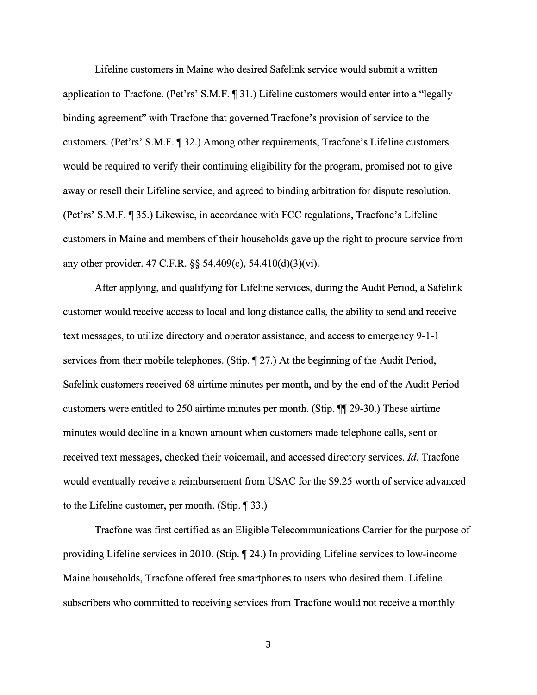Lifeline customers in Maine who desired Safelink service would submit a written application to Tracfone. (Pet'rs' S.M.F.  $\P$  31.) Lifeline customers would enter into a "legally binding agreement" with Tracfone that governed Tracfone's provision of service to the customers. (Pet'rs' S.M.F. ¶ 32.) Among other requirements, Tracfone's Lifeline customers would be required to verify their continuing eligibility for the program, promised not to give away or resell their Lifeline service, and agreed to binding arbitration for dispute resolution. (Pet'rs' S.M.F. 1 35.) Likewise, in accordance with FCC regulations, Tracfone's Lifeline customers in Maine and members of their households gave up the right to procure service from any other provider. 47 C.F.R. §§ 54.409(c), 54.410(d)(3)(vi).

After applying, and qualifying for Lifeline services, during the Audit Period, a Safelink customer would receive access to local and long distance calls, the ability to send and receive text messages, to utilize directory and operator assistance, and access to emergency 9-1-1 services from their mobile telephones. (Stip.  $\P$  27.) At the beginning of the Audit Period, Safelink customers received 68 airtime minutes per month, and by the end of the Audit Period customers were entitled to 250 airtime minutes per month. (Stip.  $\P$  29-30.) These airtime minutes would decline in a known amount when customers made telephone calls, sent or received text messages, checked their voicemail, and accessed directory services. *Id.* Tracfone would eventually receive a reimbursement from USAC for the \$9.25 worth of service advanced to the Lifeline customer, per month. (Stip.  $\P$  33.)

Tracfone was first certified as an Eligible Telecommunications Carrier for the purpose of providing Lifeline services in 2010. (Stip.  $\sqrt{24}$ .) In providing Lifeline services to low-income Maine households, Tracfone offered free smartphones to users who desired them. Lifeline subscribers who committed to receiving services from Tracfone would not receive a monthly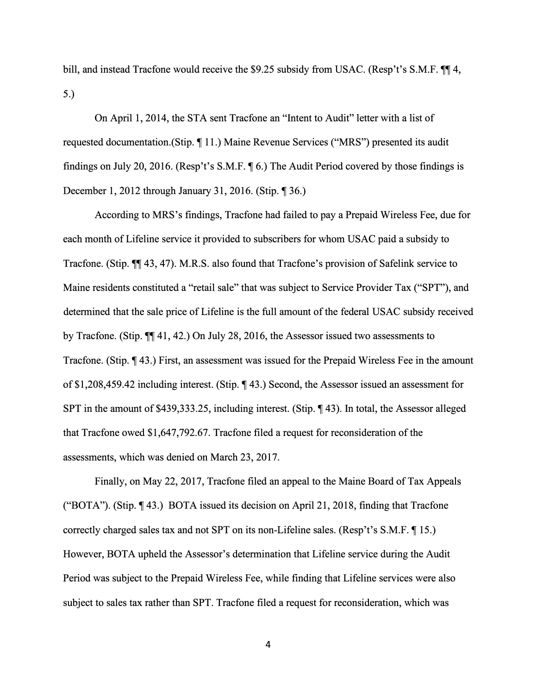bill, and instead Tracfone would receive the \$9.25 subsidy from USAC. (Resp't's S.M.F.  $\P$  $\uparrow$  4, 5.)

On April 1, 2014, the STA sent Tracfone an "Intent to Audit" letter with a list of requested documentation.(Stip. ¶ 11.) Maine Revenue Services ("MRS") presented its audit findings on July 20, 2016. (Resp't's S.M.F.  $\parallel$  6.) The Audit Period covered by those findings is December 1, 2012 through January 31, 2016. (Stip.  $\P$  36.)

According to MRS's findings, Tracfone had failed to pay a Prepaid Wireless Fee, due for each month of Lifeline service it provided to subscribers for whom USAC paid a subsidy to Tracfone. (Stip.  $\P$ , 43, 47). M.R.S. also found that Tracfone's provision of Safelink service to Maine residents constituted a "retail sale" that was subject to Service Provider Tax ("SPT"), and determined that the sale price of Lifeline is the full amount of the federal USAC subsidy received by Tracfone. (Stip.  $\P\P$  41, 42.) On July 28, 2016, the Assessor issued two assessments to Tracfone. (Stip.  $\P$  43.) First, an assessment was issued for the Prepaid Wireless Fee in the amount of \$1,208,459.42 including interest. (Stip.  $\P$  43.) Second, the Assessor issued an assessment for SPT in the amount of \$439,333.25, including interest. (Stip.  $\P$ 43). In total, the Assessor alleged that Tracfone owed \$1,647,792.67. Tracfone filed a request for reconsideration of the assessments, which was denied on March 23, 2017.

Finally, on May 22, 2017, Tracfone filed an appeal to the Maine Board of Tax Appeals ("BOTA"). (Stip.  $\P$  43.) BOTA issued its decision on April 21, 2018, finding that Tracfone correctly charged sales tax and not SPT on its non-Lifeline sales. (Resp't's  $S.M.F. \P 15$ .) However, BOTA upheld the Assessor's determination that Lifeline service during the Audit Period was subject to the Prepaid Wireless Fee, while finding that Lifeline services were also subject to sales tax rather than SPT. Tracfone filed a request for reconsideration, which was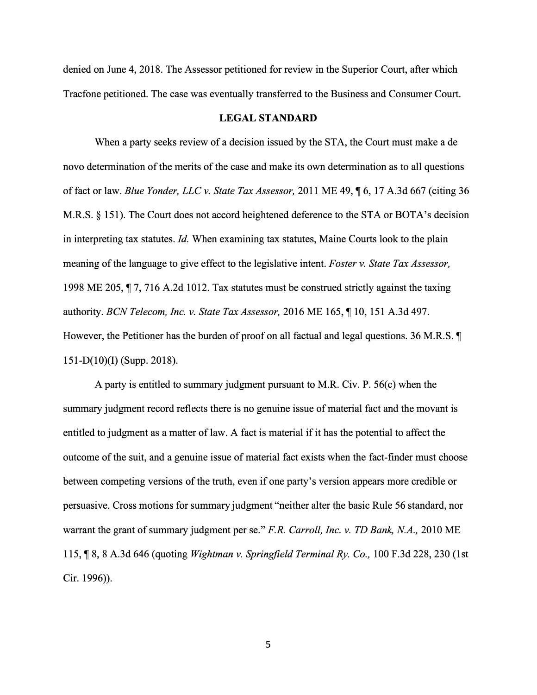denied on June 4, 2018. The Assessor petitioned for review in the Superior Court, after which Tracfone petitioned. The case was eventually transferred to the Business and Consumer Court.

### **LEGAL STANDARD**

When a party seeks review of a decision issued by the STA, the Court must make a de novo determination of the merits of the case and make its own determination as to all questions of fact or law. *Blue Yonder, LLC v. State Tax Assessor,* 2011 ME 49,  $\P$  6, 17 A.3d 667 (citing 36 M.R.S. § 151). The Court does not accord heightened deference to the STA or BOTA's decision in interpreting tax statutes. *Id.* When examining tax statutes, Maine Courts look to the plain meaning of the language to give effect to the legislative intent. *Foster v. State Tax Assessor,*  1998 ME 205,  $\P$  7, 716 A.2d 1012. Tax statutes must be construed strictly against the taxing authority. *BCN Telecom, Inc. v. State Tax Assessor*, 2016 ME 165, 110, 151 A.3d 497. However, the Petitioner has the burden of proof on all factual and legal questions. 36 M.R.S.  $\P$  $151-D(10)(I)$  (Supp. 2018).

A party is entitled to summary judgment pursuant to M.R. Civ. P. 56(c) when the summary judgment record reflects there is no genuine issue of material fact and the movant is entitled to judgment as a matter of law. A fact is material if it has the potential to affect the outcome of the suit, and a genuine issue of material fact exists when the fact-finder must choose between competing versions of the truth, even if one party's version appears more credible or persuasive. Cross motions for summary judgment "neither alter the basic Rule 56 standard, nor warrant the grant of summary judgment per se." *F.R. Carroll, Inc. v. TD Bank, NA.,* 2010 ME 115, ¶ 8, 8 A.3d 646 (quoting *Wightman v. Springfield Terminal Ry. Co.,* 100 F.3d 228, 230 (1st Cir. 1996)).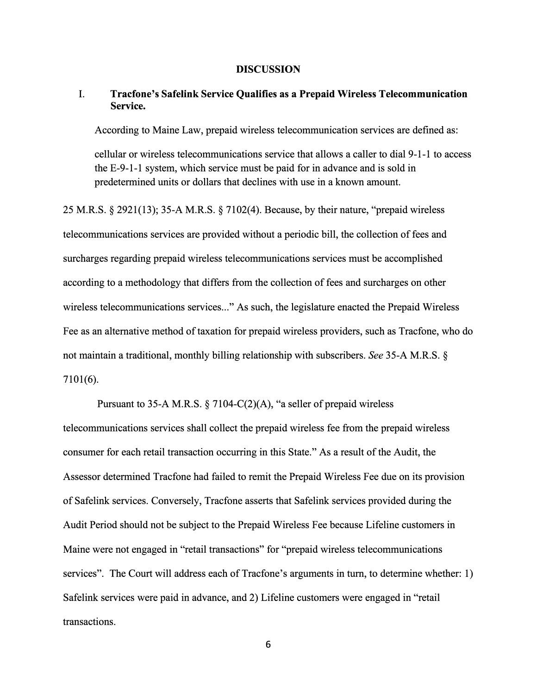### **DISCUSSION**

# I. **Tracfone's Safelink Service Qualifies as a Prepaid Wireless Telecommunication Service.**

According to Maine Law, prepaid wireless telecommunication services are defined as:

cellular or wireless telecommunications service that allows a caller to dial 9-1-1 to access the E-9-1-1 system, which service must be paid for in advance and is sold in predetermined units or dollars that declines with use in a known amount.

25 M.R.S. § 2921(13); 35-A M.R.S. § 7102(4). Because, by their nature, "prepaid wireless telecommunications services are provided without a periodic bill, the collection of fees and surcharges regarding prepaid wireless telecommunications services must be accomplished according to a methodology that differs from the collection of fees and surcharges on other wireless telecommunications services..." As such, the legislature enacted the Prepaid Wireless Fee as an alternative method of taxation for prepaid wireless providers, such as Tracfone, who do not maintain a traditional, monthly billing relationship with subscribers. *See* 35-A M.R.S. § 7101(6).

Pursuant to 35-A M.R.S. § 7104-C(2)(A), "a seller of prepaid wireless telecommunications services shall collect the prepaid wireless fee from the prepaid wireless consumer for each retail transaction occurring in this State." As a result of the Audit, the Assessor determined Tracfone had failed to remit the Prepaid Wireless Fee due on its provision of Safelink services. Conversely, Tracfone asserts that Safelink services provided during the Audit Period should not be subject to the Prepaid Wireless Fee because Lifeline customers in Maine were not engaged in "retail transactions" for "prepaid wireless telecommunications services". The Court will address each of Tracfone's arguments in turn, to determine whether: 1) Safelink services were paid in advance, and 2) Lifeline customers were engaged in "retail transactions.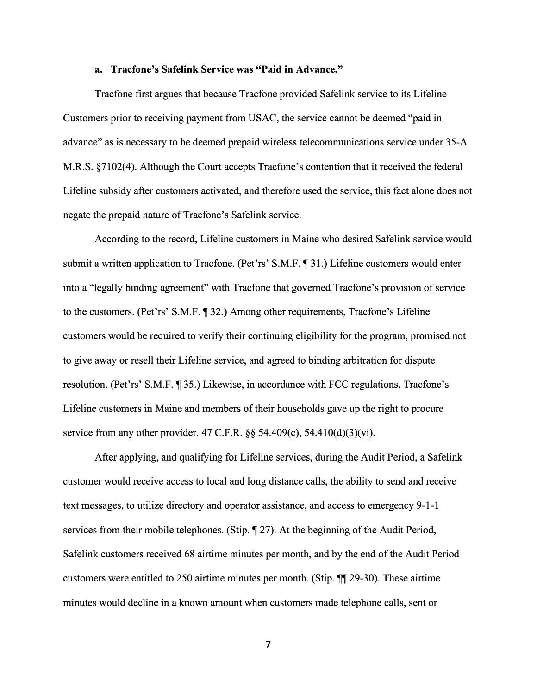### **a. Tracfone's Safelink Service was "Paid in Advance."**

Tracfone first argues that because Tracfone provided Safelink service to its Lifeline Customers prior to receiving payment from USAC, the service cannot be deemed "paid in advance" as is necessary to be deemed prepaid wireless telecommunications service under 35-A M.R.S. §7102(4). Although the Court accepts Tracfone's contention that it received the federal Lifeline subsidy after customers activated, and therefore used the service, this fact alone does not negate the prepaid nature of Tracfone's Safelink service.

According to the record, Lifeline customers in Maine who desired Safelink service would submit a written application to Tracfone. (Pet'rs' S.M.F. 1<sup>31</sup>.) Lifeline customers would enter into a "legally binding agreement" with Tracfone that governed Tracfone's provision of service to the customers. (Pet'rs' S.M.F. ¶ 32.) Among other requirements, Tracfone's Lifeline customers would be required to verify their continuing eligibility for the program, promised not to give away or resell their Lifeline service, and agreed to binding arbitration for dispute resolution. (Pet'rs' S.M.F. **[44]** 35.) Likewise, in accordance with FCC regulations, Tracfone's Lifeline customers in Maine and members of their households gave up the right to procure service from any other provider. 47 C.F.R.  $\S$ § 54.409(c), 54.410(d)(3)(vi).

After applying, and qualifying for Lifeline services, during the Audit Period, a Safelink customer would receive access to local and long distance calls, the ability to send and receive text messages, to utilize directory and operator assistance, and access to emergency 9-1-1 services from their mobile telephones. (Stip.  $\P$  27). At the beginning of the Audit Period, Safelink customers received 68 airtime minutes per month, and by the end of the Audit Period customers were entitled to 250 airtime minutes per month. (Stip.  $\P$  29-30). These airtime minutes would decline in a known amount when customers made telephone calls, sent or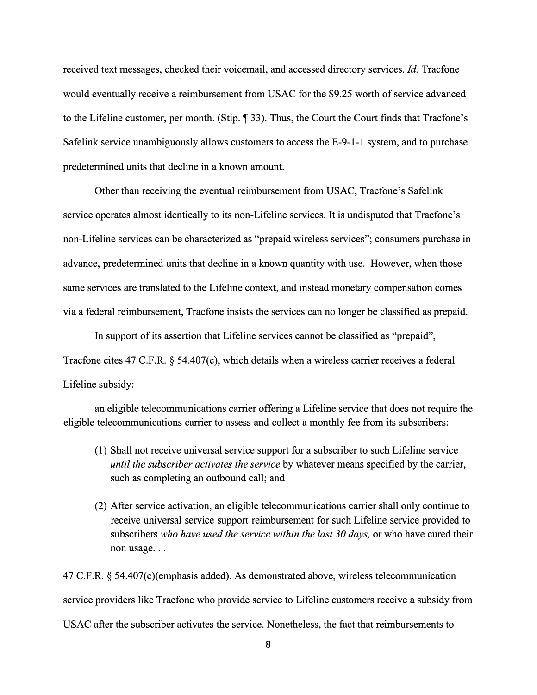received text messages, checked their voicemail, and accessed directory services. *Id.* Tracfone would eventually receive a reimbursement from USAC for the \$9.25 worth of service advanced to the Lifeline customer, per month. (Stip.  $\P$  33). Thus, the Court the Court finds that Tracfone's Safelink service unambiguously allows customers to access the E-9-1-1 system, and to purchase predetermined units that decline in a known amount.

Other than receiving the eventual reimbursement from USAC, Tracfone's Safelink service operates almost identically to its non-Lifeline services. It is undisputed that Tracfone's non-Lifeline services can be characterized as "prepaid wireless services"; consumers purchase in advance, predetermined units that decline in a known quantity with use. However, when those same services are translated to the Lifeline context, and instead monetary compensation comes via a federal reimbursement, Tracfone insists the services can no longer be classified as prepaid.

In support of its assertion that Lifeline services cannot be classified as "prepaid", Tracfone cites 47 C.F.R. § 54.407(c), which details when a wireless carrier receives a federal Lifeline subsidy:

an eligible telecommunications carrier offering a Lifeline service that does not require the eligible telecommunications carrier to assess and collect a monthly fee from its subscribers:

- (1) Shall not receive universal service support for a subscriber to such Lifeline service *until the subscriber activates the service* by whatever means specified by the carrier, such as completing an outbound call; and
- ( 2) After service activation, an eligible telecommunications carrier shall only continue to receive universal service support reimbursement for such Lifeline service provided to subscribers *who have used the service within the last 30 days,* or who have cured their non usage...

47 C.F.R. § 54.407(c)(emphasis added). As demonstrated above, wireless telecommunication service providers like Tracfone who provide service to Lifeline customers receive a subsidy from USAC after the subscriber activates the service. Nonetheless, the fact that reimbursements to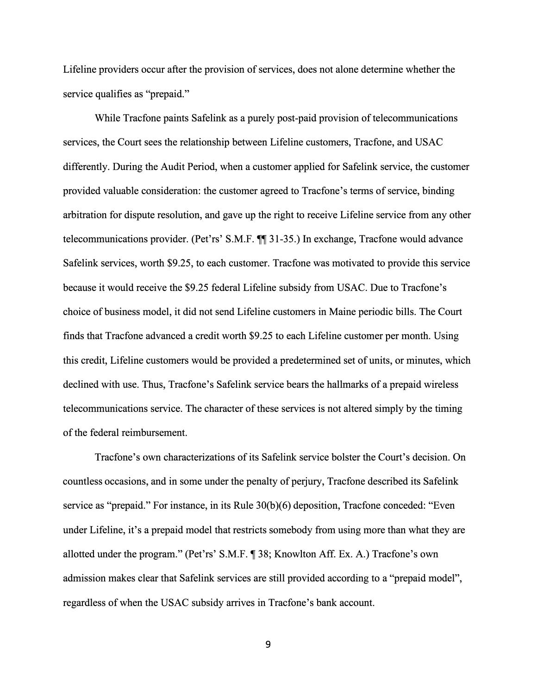Lifeline providers occur after the provision of services, does not alone determine whether the service qualifies as "prepaid."

While Tracfone paints Safelink as a purely post-paid provision of telecommunications services, the Court sees the relationship between Lifeline customers, Tracfone, and USAC differently. During the Audit Period, when a customer applied for Safelink service, the customer provided valuable consideration: the customer agreed to Tracfone's terms of service, binding arbitration for dispute resolution, and gave up the right to receive Lifeline service from any other telecommunications provider. (Pet'rs' S.M.F.  $\P$ , 31-35.) In exchange, Tracfone would advance Safelink services, worth \$9.25, to each customer. Tracfone was motivated to provide this service because it would receive the \$9.25 federal Lifeline subsidy from USAC. Due to Tracfone's choice of business model, it did not send Lifeline customers in Maine periodic bills. The Court finds that Tracfone advanced a credit worth \$9.25 to each Lifeline customer per month. Using this credit, Lifeline customers would be provided a predetermined set of units, or minutes, which declined with use. Thus, Tracfone's Safelink service bears the hallmarks of a prepaid wireless telecommunications service. The character of these services is not altered simply by the timing of the federal reimbursement.

Tracfone's own characterizations of its Safelink service bolster the Court's decision. On countless occasions, and in some under the penalty of perjury, Tracfone described its Safelink service as "prepaid." For instance, in its Rule 30(b)(6) deposition, Tracfone conceded: "Even under Lifeline, it's a prepaid model that restricts somebody from using more than what they are allotted under the program." (Pet'rs' S.M.F.  $\parallel$  38; Knowlton Aff. Ex. A.) Tracfone's own admission makes clear that Safelink services are still provided according to a "prepaid model", regardless of when the USAC subsidy arrives in Tracfone's bank account.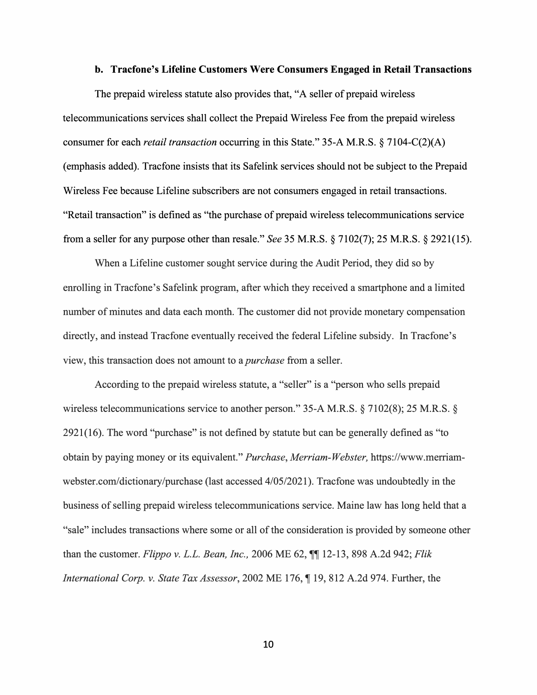### **b. Tracfone's Lifeline Customers Were Consumers Engaged in Retail Transactions**

The prepaid wireless statute also provides that, "A seller of prepaid wireless telecommunications services shall collect the Prepaid Wireless Fee from the prepaid wireless consumer for each *retail transaction* occurring in this State." 35-A M.R.S. § 7104-C(2)(A) ( emphasis added). Tracfone insists that its Safelink services should not be subject to the Prepaid Wireless Fee because Lifeline subscribers are not consumers engaged in retail transactions. "Retail transaction" is defined as "the purchase of prepaid wireless telecommunications service from a seller for any purpose other than resale." *See* 35 M.R.S. § 7102(7); 25 M.R.S. § 2921(15).

When a Lifeline customer sought service during the Audit Period, they did so by emolling in Tracfone's Safelink program, after which they received a smartphone and a limited number of minutes and data each month. The customer did not provide monetary compensation directly, and instead Tracfone eventually received the federal Lifeline subsidy. In Tracfone's view, this transaction does not amount to a *purchase* from a seller.

According to the prepaid wireless statute, a "seller" is a "person who sells prepaid wireless telecommunications service to another person." 35-A M.R.S. § 7102(8); 25 M.R.S. § 2921(16). The word "purchase" is not defined by statute but can be generally defined as "to obtain by paying money or its equivalent." *Purchase, Merriam-Webster,* https://www.merriamwebster.com/dictionary/purchase (last accessed 4/05/2021). Tracfone was undoubtedly in the business of selling prepaid wireless telecommunications service. Maine law has long held that a "sale" includes transactions where some or all of the consideration is provided by someone other than the customer. *Flippo v. L.L. Bean, Inc.,* 2006 ME 62,  $\P\P$  12-13, 898 A.2d 942; *Flik International Corp. v. State Tax Assessor,* 2002 ME 176,  $\P$  19, 812 A.2d 974. Further, the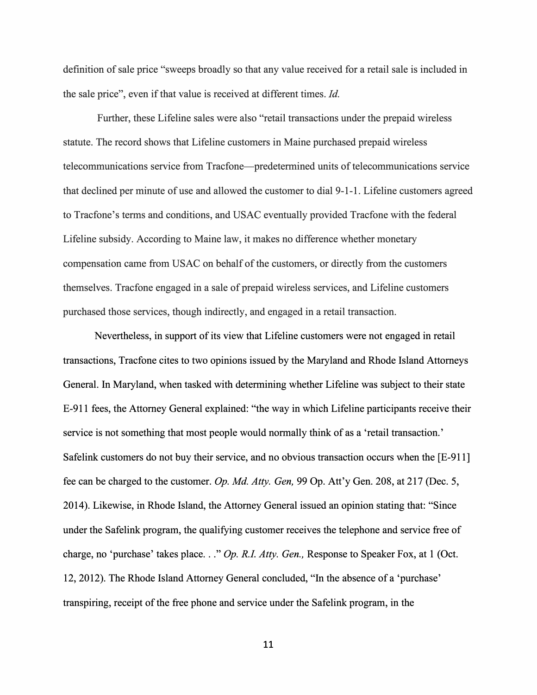definition of sale price "sweeps broadly so that any value received for a retail sale is included in the sale price", even if that value is received at different times. *Id.* 

Further, these Lifeline sales were also "retail transactions under the prepaid wireless statute. The record shows that Lifeline customers in Maine purchased prepaid wireless telecommunications service from Tracfone-predetermined units of telecommunications service that declined per minute of use and allowed the customer to dial 9-1-1. Lifeline customers agreed to Tracfone's terms and conditions, and USAC eventually provided Tracfone with the federal Lifeline subsidy. According to Maine law, it makes no difference whether monetary compensation came from USAC on behalf of the customers, or directly from the customers themselves. Tracfone engaged in a sale of prepaid wireless services, and Lifeline customers purchased those services, though indirectly, and engaged in a retail transaction.

Nevertheless, in support of its view that Lifeline customers were not engaged in retail transactions, Tracfone cites to two opinions issued by the Maryland and Rhode Island Attorneys General. In Maryland, when tasked with determining whether Lifeline was subject to their state E-911 fees, the Attorney General explained: "the way in which Lifeline participants receive their service is not something that most people would normally think of as a 'retail transaction.' Safelink customers do not buy their service, and no obvious transaction occurs when the [E-911] fee can be charged to the customer. *Op. Md. Atty. Gen,* 99 Op. Att'y Gen. 208, at 217 (Dec. 5, 2014). Likewise, in Rhode Island, the Attorney General issued an opinion stating that: "Since under the Safelink program, the qualifying customer receives the telephone and service free of charge, no 'purchase' takes place ... " *Op. R.I. Atty. Gen.,* Response to Speaker Fox, at 1 (Oct. 12, 2012). The Rhode Island Attorney General concluded, "In the absence of a 'purchase' transpiring, receipt of the free phone and service under the Safelink program, in the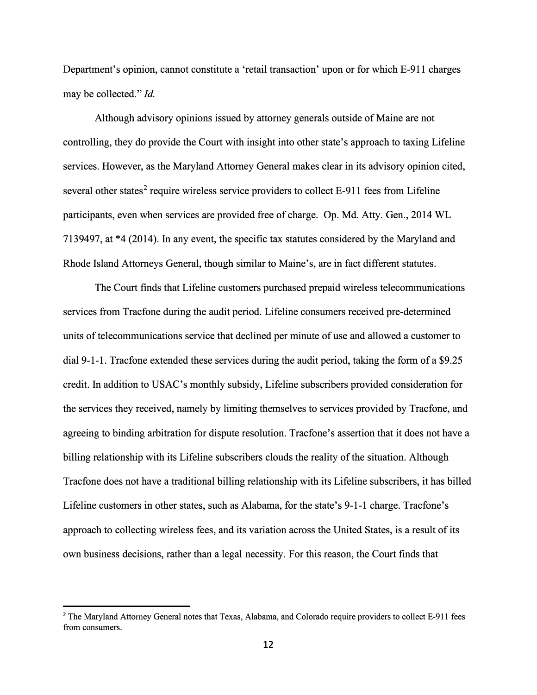Department's opinion, cannot constitute a 'retail transaction' upon or for which E-911 charges may be collected." *Id.*

Although advisory opinions issued by attorney generals outside of Maine are not controlling, they do provide the Court with insight into other state's approach to taxing Lifeline services. However, as the Maryland Attorney General makes clear in its advisory opinion cited, several other states<sup>2</sup> require wireless service providers to collect E-911 fees from Lifeline participants, even when services are provided free of charge. Op. Md. Atty. Gen., 2014 WL 7139497, at \*4 (2014). In any event, the specific tax statutes considered by the Maryland and Rhode Island Attorneys General, though similar to Maine's, are in fact different statutes.

The Court finds that Lifeline customers purchased prepaid wireless telecommunications services from Tracfone during the audit period. Lifeline consumers received pre-determined units of telecommunications service that declined per minute of use and allowed a customer to dial 9-1-1. Tracfone extended these services during the audit period, taking the form of a \$9 .25 credit. In addition to USAC's monthly subsidy, Lifeline subscribers provided consideration for the services they received, namely by limiting themselves to services provided by Tracfone, and agreeing to binding arbitration for dispute resolution. Tracfone's assertion that it does not have a billing relationship with its Lifeline subscribers clouds the reality of the situation. Although Tracfone does not have a traditional billing relationship with its Lifeline subscribers, it has billed Lifeline customers in other states, such as Alabama, for the state's 9-1-1 charge. Tracfone's approach to collecting wireless fees, and its variation across the United States, is a result of its own business decisions, rather than a legal necessity. For this reason, the Court finds that

<sup>&</sup>lt;sup>2</sup> The Maryland Attorney General notes that Texas, Alabama, and Colorado require providers to collect E-911 fees from consumers.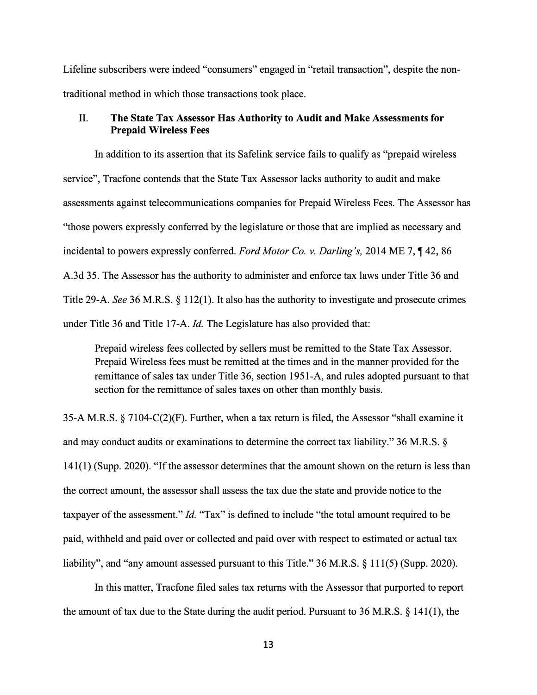Lifeline subscribers were indeed "consumers" engaged in "retail transaction", despite the nontraditional method in which those transactions took place.

# II. **The State Tax Assessor Has Authority to Audit and Make Assessments for Prepaid Wireless Fees**

In addition to its assertion that its Safelink service fails to qualify as "prepaid wireless service", Tracfone contends that the State Tax Assessor lacks authority to audit and make assessments against telecommunications companies for Prepaid Wireless Fees. The Assessor has "those powers expressly conferred by the legislature or those that are implied as necessary and incidental to powers expressly conferred. *Ford Motor Co. v. Darling's*, 2014 ME 7, 142, 86 A.3d 35. The Assessor has the authority to administer and enforce tax laws under Title 36 and Title 29-A. *See* 36 M.R.S. § 112(1). It also has the authority to investigate and prosecute crimes under Title 36 and Title 17-A. *Id.* The Legislature has also provided that:

Prepaid wireless fees collected by sellers must be remitted to the State Tax Assessor. Prepaid Wireless fees must be remitted at the times and in the manner provided for the remittance of sales tax under Title 36, section 1951-A, and rules adopted pursuant to that section for the remittance of sales taxes on other than monthly basis.

35-A M.R.S. § 7104-C(2)(F). Further, when a tax return is filed, the Assessor "shall examine it and may conduct audits or examinations to determine the correct tax liability." 36 M.R.S. § 141(1) (Supp. 2020). "If the assessor determines that the amount shown on the return is less than the correct amount, the assessor shall assess the tax due the state and provide notice to the taxpayer of the assessment." *Id.* "Tax" is defined to include "the total amount required to be paid, withheld and paid over or collected and paid over with respect to estimated or actual tax liability", and "any amount assessed pursuant to this Title." 36 M.R.S. § 111(5) (Supp. 2020).

In this matter, Tracfone filed sales tax returns with the Assessor that purported to report the amount of tax due to the State during the audit period. Pursuant to 36 M.R.S. § 141(1), the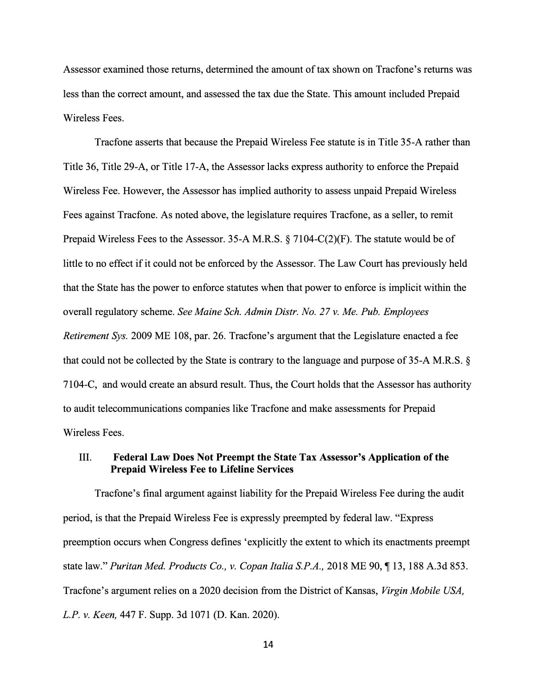Assessor examined those returns, determined the amount of tax shown on Tracfone's returns was less than the correct amount, and assessed the tax due the State. This amount included Prepaid Wireless Fees.

Tracfone asserts that because the Prepaid Wireless Fee statute is in Title 35-A rather than Title 36, Title 29-A, or Title 17-A, the Assessor lacks express authority to enforce the Prepaid Wireless Fee. However, the Assessor has implied authority to assess unpaid Prepaid Wireless Fees against Tracfone. As noted above, the legislature requires Tracfone, as a seller, to remit Prepaid Wireless Fees to the Assessor. 35-A M.R.S. § 7104-C(2)(F). The statute would be of little to no effect if it could not be enforced by the Assessor. The Law Court has previously held that the State has the power to enforce statutes when that power to enforce is implicit within the overall regulatory scheme. *See Maine Sch. Admin Distr. No. 27 v. Me. Pub. Employees Retirement Sys.* 2009 ME 108, par. 26. Tracfone's argument that the Legislature enacted a fee that could not be collected by the State is contrary to the language and purpose of 35-A M.R.S. § 7104-C, and would create an absurd result. Thus, the Court holds that the Assessor has authority to audit telecommunications companies like Tracfone and make assessments for Prepaid Wireless Fees.

# III. **Federal Law Does Not Preempt the State Tax Assessor's Application of the Prepaid Wireless Fee to Lifeline Services**

Tracfone's final argument against liability for the Prepaid Wireless Fee during the audit period, is that the Prepaid Wireless Fee is expressly preempted by federal law. "Express preemption occurs when Congress defines 'explicitly the extent to which its enactments preempt state law." *Puritan Med. Products Co., v. Copan Italia S.P.A.,* 2018 ME 90, **,r** 13, 188 A.3d 853. Tracfone's argument relies on a 2020 decision from the District of Kansas, *Virgin Mobile USA, L.P. v. Keen,* 447 F. Supp. 3d 1071 (D. Kan. 2020).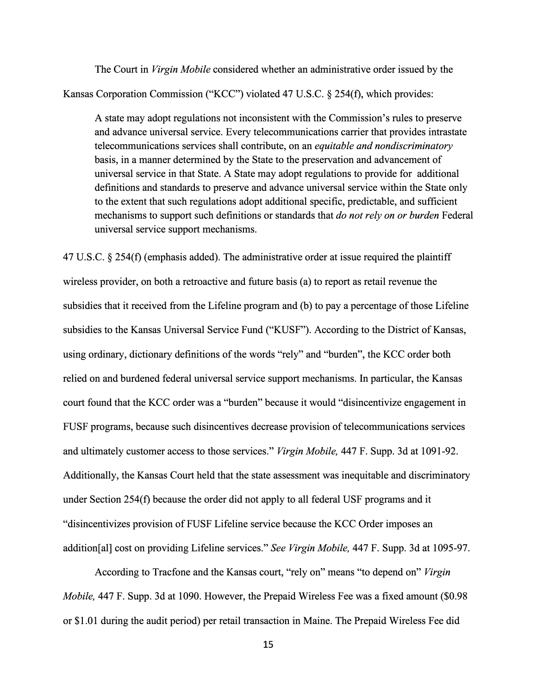The Court in *Virgin Mobile* considered whether an administrative order issued by the Kansas Corporation Commission ("KCC") violated 47 U.S.C. § 254(f), which provides:

A state may adopt regulations not inconsistent with the Commission's rules to preserve and advance universal service. Every telecommunications carrier that provides intrastate telecommunications services shall contribute, on an *equitable and nondiscriminatory*  basis, in a manner determined by the State to the preservation and advancement of universal service in that State. A State may adopt regulations to provide for additional definitions and standards to preserve and advance universal service within the State only to the extent that such regulations adopt additional specific, predictable, and sufficient mechanisms to support such definitions or standards that *do not rely on or burden* Federal universal service support mechanisms.

47 U.S.C. § 254(f) (emphasis added). The administrative order at issue required the plaintiff wireless provider, on both a retroactive and future basis (a) to report as retail revenue the subsidies that it received from the Lifeline program and (b) to pay a percentage of those Lifeline subsidies to the Kansas Universal Service Fund ("KUSF"). According to the District of Kansas, using ordinary, dictionary definitions of the words "rely" and "burden", the KCC order both relied on and burdened federal universal service support mechanisms. In particular, the Kansas court found that the KCC order was a "burden" because it would "disincentivize engagement in FUSF programs, because such disincentives decrease provision of telecommunications services and ultimately customer access to those services." *Virgin Mobile,* 447 F. Supp. 3d at 1091-92. Additionally, the Kansas Court held that the state assessment was inequitable and discriminatory under Section 254(f) because the order did not apply to all federal USF programs and it "disincentivizes provision ofFUSF Lifeline service because the KCC Order imposes an addition[al] cost on providing Lifeline services." *See Virgin Mobile,* 447 F. Supp. 3d at 1095-97.

According to Tracfone and the Kansas court, "rely on" means ''to depend on" *Virgin Mobile,* 447 F. Supp. 3d at 1090. However, the Prepaid Wireless Fee was a fixed amount (\$0.98 or \$1.01 during the audit period) per retail transaction in Maine. The Prepaid Wireless Fee did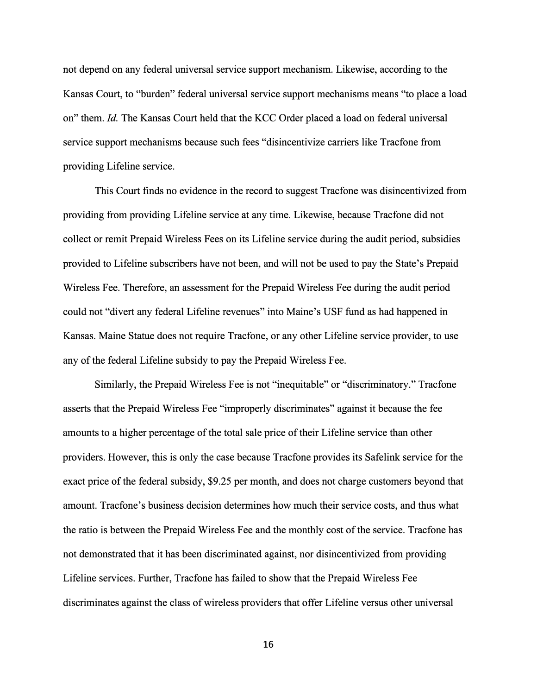not depend on any federal universal service support mechanism. Likewise, according to the Kansas Court, to "burden" federal universal service support mechanisms means "to place a load on" them. *Id.* The Kansas Court held that the KCC Order placed a load on federal universal service support mechanisms because such fees "disincentivize carriers like Tracfone from providing Lifeline service.

This Court finds no evidence in the record to suggest Tracfone was disincentivized from providing from providing Lifeline service at any time. Likewise, because Tracfone did not collect or remit Prepaid Wireless Fees on its Lifeline service during the audit period, subsidies provided to Lifeline subscribers have not been, and will not be used to pay the State's Prepaid Wireless Fee. Therefore, an assessment for the Prepaid Wireless Fee during the audit period could not "divert any federal Lifeline revenues" into Maine's USF fund as had happened in Kansas. Maine Statue does not require Tracfone, or any other Lifeline service provider, to use any of the federal Lifeline subsidy to pay the Prepaid Wireless Fee.

Similarly, the Prepaid Wireless Fee is not "inequitable" or "discriminatory." Tracfone asserts that the Prepaid Wireless Fee "improperly discriminates" against it because the fee amounts to a higher percentage of the total sale price of their Lifeline service than other providers. However, this is only the case because Tracfone provides its Safelink service for the exact price of the federal subsidy, \$9.25 per month, and does not charge customers beyond that amount. Tracfone's business decision determines how much their service costs, and thus what the ratio is between the Prepaid Wireless Fee and the monthly cost of the service. Tracfone has not demonstrated that it has been discriminated against, nor disincentivized from providing Lifeline services. Further, Tracfone has failed to show that the Prepaid Wireless Fee discriminates against the class of wireless providers that offer Lifeline versus other universal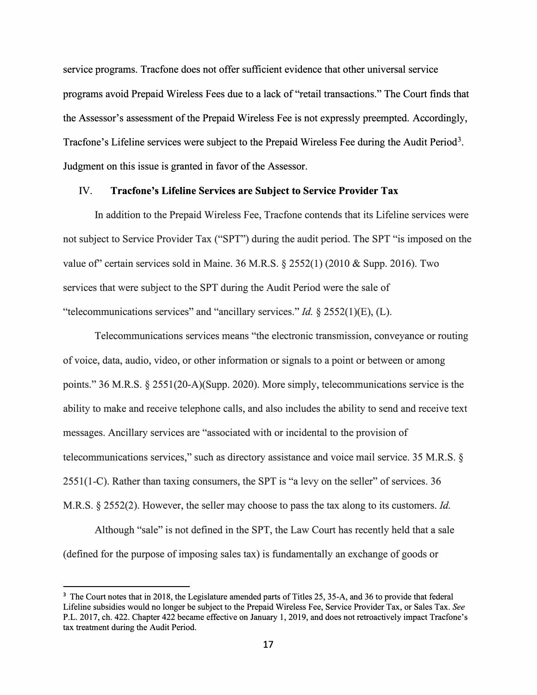service programs. Tracfone does not offer sufficient evidence that other universal service programs avoid Prepaid Wireless Fees due to a lack of "retail transactions." The Court finds that the Assessor's assessment of the Prepaid Wireless Fee is not expressly preempted. Accordingly, Tracfone's Lifeline services were subject to the Prepaid Wireless Fee during the Audit Period<sup>3</sup>. Judgment on this issue is granted in favor of the Assessor.

### **IV. Tracfone's Lifeline Services are Subject to Service Provider Tax**

In addition to the Prepaid Wireless Fee, Tracfone contends that its Lifeline services were not subject to Service Provider Tax ("SPT") during the audit period. The SPT "is imposed on the value of certain services sold in Maine. 36 M.R.S.  $\S 2552(1)$  (2010 & Supp. 2016). Two services that were subject to the SPT during the Audit Period were the sale of "telecommunications services" and "ancillary services." *Id.* § 2552(1)(E), (L).

Telecommunications services means "the electronic transmission, conveyance or routing of voice, data, audio, video, or other information or signals to a point or between or among points." 36 M.R.S. § 2551(20-A)(Supp. 2020). More simply, telecommunications service is the ability to make and receive telephone calls, and also includes the ability to send and receive text messages. Ancillary services are "associated with or incidental to the provision of telecommunications services," such as directory assistance and voice mail service. 35 M.R.S. § 2551 (1-C). Rather than taxing consumers, the SPT is "a levy on the seller" of services. 36 M.R.S. § 2552(2). However, the seller may choose to pass the tax along to its customers. *Id.*

Although "sale" is not defined in the SPT, the Law Court has recently held that a sale (defined for the purpose of imposing sales tax) is fundamentally an exchange of goods or

<sup>&</sup>lt;sup>3</sup> The Court notes that in 2018, the Legislature amended parts of Titles 25, 35-A, and 36 to provide that federal Lifeline subsidies would no longer be subject to the Prepaid Wireless Fee, Service Provider Tax, or Sales Tax. *See* P.L. 2017, ch. 422. Chapter 422 became effective on January 1, 2019, and does not retroactively impact Tracfone's tax treatment during the Audit Period.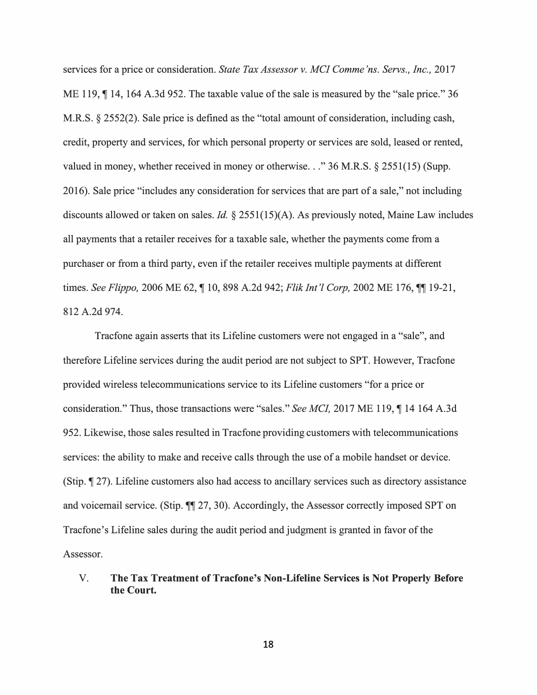services for a price or consideration. *State Tax Assessor v. MCI Comme 'ns. Servs., Inc.,* 2017 ME 119,  $\P$  14, 164 A.3d 952. The taxable value of the sale is measured by the "sale price." 36 M.R.S. § 2552(2). Sale price is defined as the "total amount of consideration, including cash, credit, property and services, for which personal property or services are sold, leased or rented, valued in money, whether received in money or otherwise ... " 36 M.R.S. § 2551(15) (Supp. 2016). Sale price "includes any consideration for services that are part of a sale," not including discounts allowed or taken on sales. *Id.* § 2551(15)(A). As previously noted, Maine Law includes all payments that a retailer receives for a taxable sale, whether the payments come from a purchaser or from a third party, even if the retailer receives multiple payments at different times. *See Flippo*, 2006 ME 62,  $\P$  10, 898 A.2d 942; *Flik Int'l Corp*, 2002 ME 176,  $\P$  19-21, 812 A.2d 974.

Tracfone again asserts that its Lifeline customers were not engaged in a "sale", and therefore Lifeline services during the audit period are not subject to SPT. However, Tracfone provided wireless telecommunications service to its Lifeline customers "for a price or consideration." Thus, those transactions were "sales." *See MCI*, 2017 ME 119, ¶ 14 164 A.3d 952. Likewise, those sales resulted in Tracfone providing customers with telecommunications services: the ability to make and receive calls through the use of a mobile handset or device. (Stip.  $\P$  27). Lifeline customers also had access to ancillary services such as directory assistance and voicemail service. (Stip.  $\P$ [27, 30). Accordingly, the Assessor correctly imposed SPT on Tracfone's Lifeline sales during the audit period and judgment is granted in favor of the Assessor.

V. **The Tax Treatment of Tracfone's Non-Lifeline Services is Not Properly Before the Court.**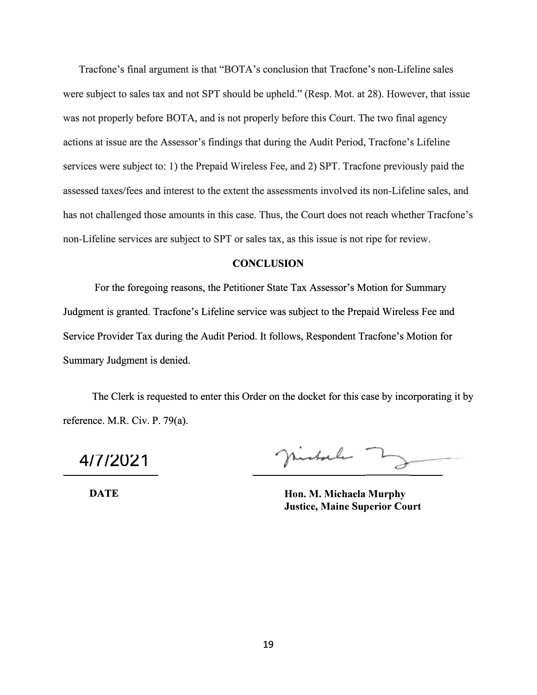Tracfone's final argument is that "BOTA's conclusion that Tracfone's non-Lifeline sales were subject to sales tax and not SPT should be upheld." (Resp. Mot. at 28). However, that issue was not properly before BOTA, and is not properly before this Court. The two final agency actions at issue are the Assessor's findings that during the Audit Period, Tracfone's Lifeline services were subject to: 1) the Prepaid Wireless Fee, and 2) SPT. Tracfone previously paid the assessed taxes/fees and interest to the extent the assessments involved its non-Lifeline sales, and has not challenged those amounts in this case. Thus, the Court does not reach whether Tracfone's non-Lifeline services are subject to SPT or sales tax, as this issue is not ripe for review.

### **CONCLUSION**

For the foregoing reasons, the Petitioner State Tax Assessor's Motion for Summary Judgment is granted. Tracfone's Lifeline service was subject to the Prepaid Wireless Fee and Service Provider Tax during the Audit Period. It follows, Respondent Tracfone's Motion for Summary Judgment is denied.

The Clerk is requested to enter this Order on the docket for this case by incorporating it by reference. M.R. Civ. P. 79(a).

4/7/2021 Justice 1902<br>4/7/2021 Justice 1902

**DATE Hon. M. Michaela Murphy Justice, Maine Superior Court**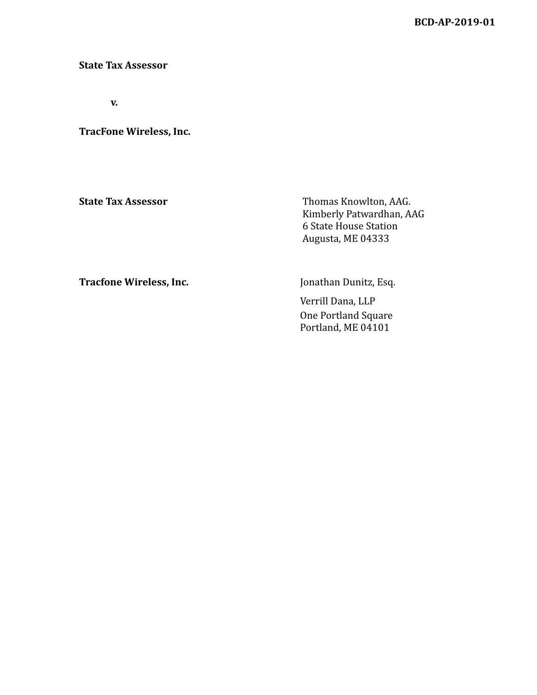**BCD-AP-2019-01**

**State Tax Assessor**

**v.**

**TracFone Wireless, Inc.**

**State Tax Assessor** Thomas Knowlton, AAG. Kimberly Patwardhan, AAG 6 State House Station Augusta, ME 04333

**Tracfone Wireless, Inc.** Jonathan Dunitz, Esq.

Verrill Dana, LLP One Portland Square Portland, ME 04101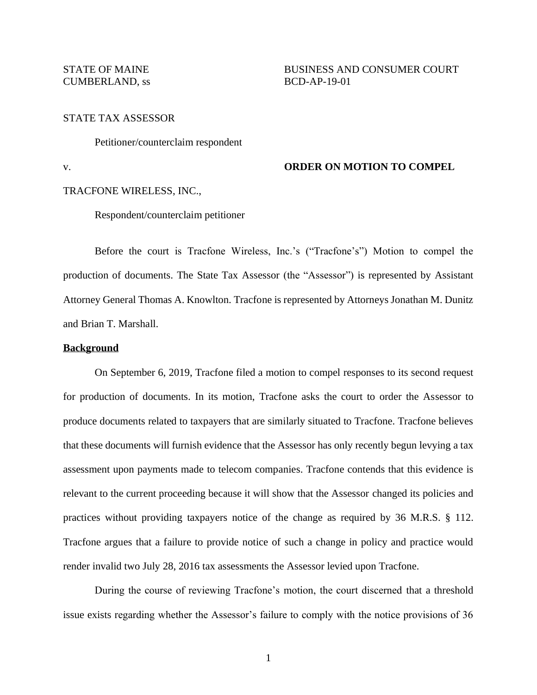# STATE TAX ASSESSOR

Petitioner/counterclaim respondent

# v. **ORDER ON MOTION TO COMPEL**

### TRACFONE WIRELESS, INC.,

Respondent/counterclaim petitioner

Before the court is Tracfone Wireless, Inc.'s ("Tracfone's") Motion to compel the production of documents. The State Tax Assessor (the "Assessor") is represented by Assistant Attorney General Thomas A. Knowlton. Tracfone is represented by Attorneys Jonathan M. Dunitz and Brian T. Marshall.

#### **Background**

On September 6, 2019, Tracfone filed a motion to compel responses to its second request for production of documents. In its motion, Tracfone asks the court to order the Assessor to produce documents related to taxpayers that are similarly situated to Tracfone. Tracfone believes that these documents will furnish evidence that the Assessor has only recently begun levying a tax assessment upon payments made to telecom companies. Tracfone contends that this evidence is relevant to the current proceeding because it will show that the Assessor changed its policies and practices without providing taxpayers notice of the change as required by 36 M.R.S. § 112. Tracfone argues that a failure to provide notice of such a change in policy and practice would render invalid two July 28, 2016 tax assessments the Assessor levied upon Tracfone.

During the course of reviewing Tracfone's motion, the court discerned that a threshold issue exists regarding whether the Assessor's failure to comply with the notice provisions of 36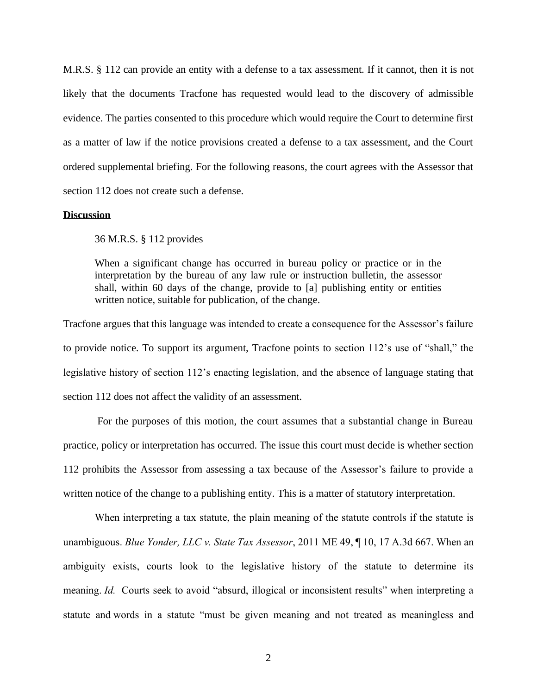M.R.S. § 112 can provide an entity with a defense to a tax assessment. If it cannot, then it is not likely that the documents Tracfone has requested would lead to the discovery of admissible evidence. The parties consented to this procedure which would require the Court to determine first as a matter of law if the notice provisions created a defense to a tax assessment, and the Court ordered supplemental briefing. For the following reasons, the court agrees with the Assessor that section 112 does not create such a defense.

## **Discussion**

36 M.R.S. § 112 provides

When a significant change has occurred in bureau policy or practice or in the interpretation by the bureau of any law rule or instruction bulletin, the assessor shall, within 60 days of the change, provide to [a] publishing entity or entities written notice, suitable for publication, of the change.

Tracfone argues that this language was intended to create a consequence for the Assessor's failure to provide notice. To support its argument, Tracfone points to section 112's use of "shall," the legislative history of section 112's enacting legislation, and the absence of language stating that section 112 does not affect the validity of an assessment.

For the purposes of this motion, the court assumes that a substantial change in Bureau practice, policy or interpretation has occurred. The issue this court must decide is whether section 112 prohibits the Assessor from assessing a tax because of the Assessor's failure to provide a written notice of the change to a publishing entity. This is a matter of statutory interpretation.

When interpreting a tax statute, the plain meaning of the statute controls if the statute is unambiguous. *Blue Yonder, LLC v. State Tax Assessor*, 2011 ME 49, ¶ 10, 17 A.3d 667. When an ambiguity exists, courts look to the legislative history of the statute to determine its meaning. *Id.* Courts seek to avoid "absurd, illogical or inconsistent results" when interpreting a statute and words in a statute "must be given meaning and not treated as meaningless and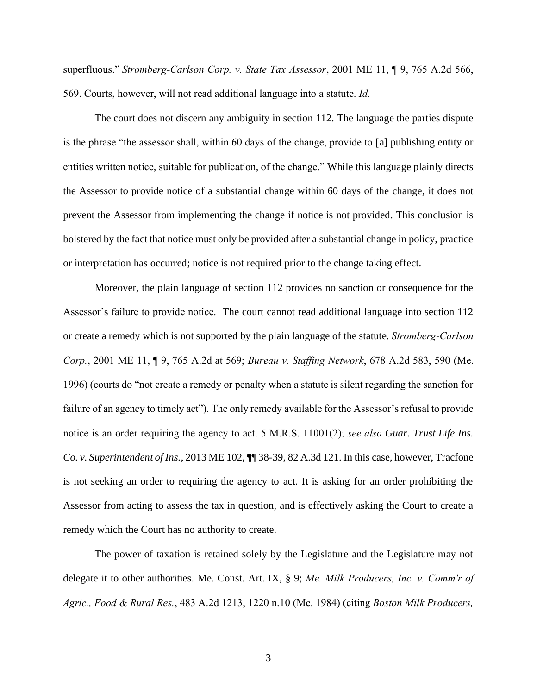superfluous." *Stromberg-Carlson Corp. v. State Tax Assessor*, 2001 ME 11, ¶ 9, 765 A.2d 566, 569. Courts, however, will not read additional language into a statute. *Id.*

The court does not discern any ambiguity in section 112. The language the parties dispute is the phrase "the assessor shall, within 60 days of the change, provide to [a] publishing entity or entities written notice, suitable for publication, of the change." While this language plainly directs the Assessor to provide notice of a substantial change within 60 days of the change, it does not prevent the Assessor from implementing the change if notice is not provided. This conclusion is bolstered by the fact that notice must only be provided after a substantial change in policy, practice or interpretation has occurred; notice is not required prior to the change taking effect.

Moreover, the plain language of section 112 provides no sanction or consequence for the Assessor's failure to provide notice. The court cannot read additional language into section 112 or create a remedy which is not supported by the plain language of the statute. *Stromberg-Carlson Corp.*, 2001 ME 11, ¶ 9, 765 A.2d at 569; *Bureau v. Staffing Network*, 678 A.2d 583, 590 (Me. 1996) (courts do "not create a remedy or penalty when a statute is silent regarding the sanction for failure of an agency to timely act"). The only remedy available for the Assessor's refusal to provide notice is an order requiring the agency to act. 5 M.R.S. 11001(2); *see also Guar. Trust Life Ins. Co. v. Superintendent of Ins.*, 2013 ME 102, ¶¶ 38-39, 82 A.3d 121. In this case, however, Tracfone is not seeking an order to requiring the agency to act. It is asking for an order prohibiting the Assessor from acting to assess the tax in question, and is effectively asking the Court to create a remedy which the Court has no authority to create.

The power of taxation is retained solely by the Legislature and the Legislature may not delegate it to other authorities. Me. Const. Art. IX, § 9; *Me. Milk Producers, Inc. v. Comm'r of Agric., Food & Rural Res.*, 483 A.2d 1213, 1220 n.10 (Me. 1984) (citing *Boston Milk Producers,*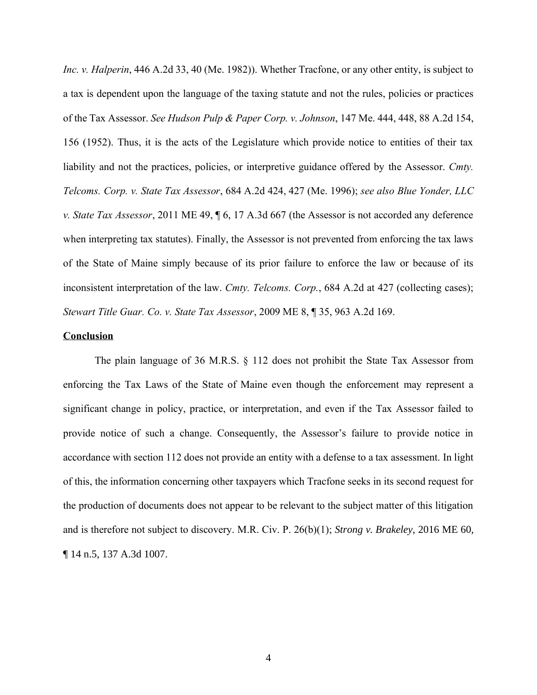*Inc. v. Halperin*, 446 A.2d 33, 40 (Me. 1982)). Whether Tracfone, or any other entity, is subject to a tax is dependent upon the language of the taxing statute and not the rules, policies or practices of the Tax Assessor. *See Hudson Pulp & Paper Corp. v. Johnson*, 147 Me. 444, 448, 88 A.2d 154, 156 (1952). Thus, it is the acts of the Legislature which provide notice to entities of their tax liability and not the practices, policies, or interpretive guidance offered by the Assessor. *Cmty. Telcoms. Corp. v. State Tax Assessor*, 684 A.2d 424, 427 (Me. 1996); *see also Blue Yonder, LLC v. State Tax Assessor*, 2011 ME 49, ¶ 6, 17 A.3d 667 (the Assessor is not accorded any deference when interpreting tax statutes). Finally, the Assessor is not prevented from enforcing the tax laws of the State of Maine simply because of its prior failure to enforce the law or because of its inconsistent interpretation of the law. *Cmty. Telcoms. Corp.*, 684 A.2d at 427 (collecting cases); *Stewart Title Guar. Co. v. State Tax Assessor*, 2009 ME 8, ¶ 35, 963 A.2d 169.

### **Conclusion**

The plain language of 36 M.R.S. § 112 does not prohibit the State Tax Assessor from enforcing the Tax Laws of the State of Maine even though the enforcement may represent a significant change in policy, practice, or interpretation, and even if the Tax Assessor failed to provide notice of such a change. Consequently, the Assessor's failure to provide notice in accordance with section 112 does not provide an entity with a defense to a tax assessment. In light of this, the information concerning other taxpayers which Tracfone seeks in its second request for the production of documents does not appear to be relevant to the subject matter of this litigation and is therefore not subject to discovery. M.R. Civ. P. 26(b)(1); *Strong v. Brakeley*, 2016 ME 60, ¶ 14 n.5, 137 A.3d 1007.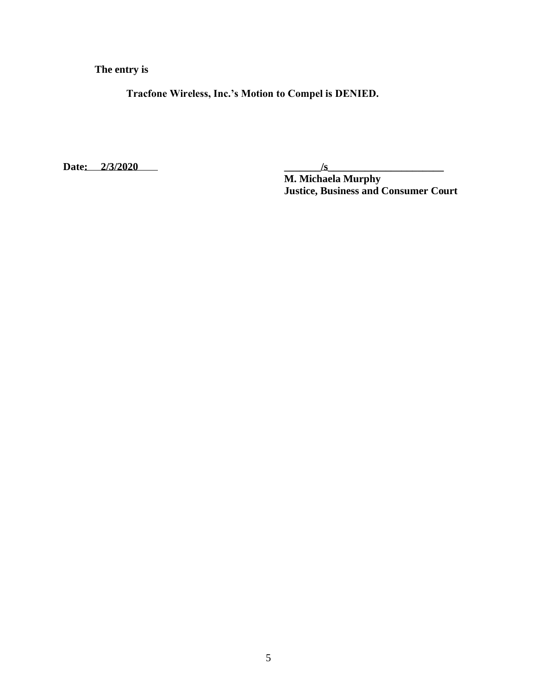**The entry is**

**Tracfone Wireless, Inc.'s Motion to Compel is DENIED.**

Date: 2/3/2020 <u>/s</u>

**M. Michaela Murphy Justice, Business and Consumer Court**